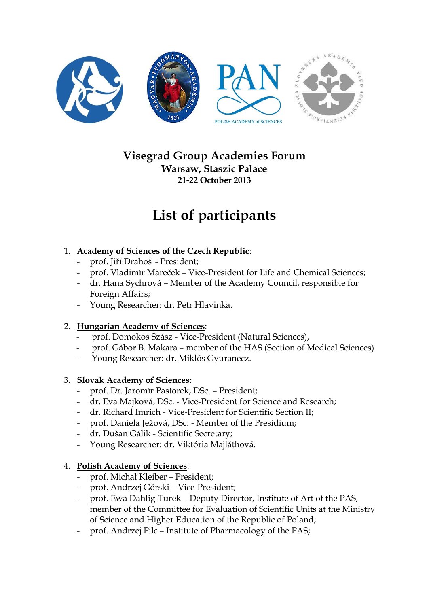

## **Visegrad Group Academies Forum Warsaw, Staszic Palace 21-22 October 2013**

# **List of participants**

### 1. **Academy of Sciences of the Czech Republic**:

- prof. Jiří Drahoš President;
- prof. Vladimír Mareček Vice-President for Life and Chemical Sciences;
- dr. Hana Sychrová Member of the Academy Council, responsible for Foreign Affairs;
- Young Researcher: dr. Petr Hlavinka.

#### 2. **Hungarian Academy of Sciences**:

- prof. Domokos Szász Vice-President (Natural Sciences),
- prof. Gábor B. Makara member of the HAS (Section of Medical Sciences)
- Young Researcher: dr. Miklós Gyuranecz.

#### 3. **Slovak Academy of Sciences**:

- prof. Dr. Jaromír Pastorek, DSc. President;
- dr. Eva Majková, DSc. Vice-President for Science and Research;
- dr. Richard Imrich Vice-President for Scientific Section II;
- prof. Daniela Ježová, DSc. Member of the Presidium;
- dr. Dušan Gálik Scientific Secretary;
- Young Researcher: dr. Viktória Majláthová.

#### 4. **Polish Academy of Sciences**:

- prof. Michał Kleiber President;
- prof. Andrzej Górski Vice-President;
- prof. Ewa Dahlig-Turek Deputy Director, Institute of Art of the PAS, member of the Committee for Evaluation of Scientific Units at the Ministry of Science and Higher Education of the Republic of Poland;
- prof. Andrzej Pilc Institute of Pharmacology of the PAS;